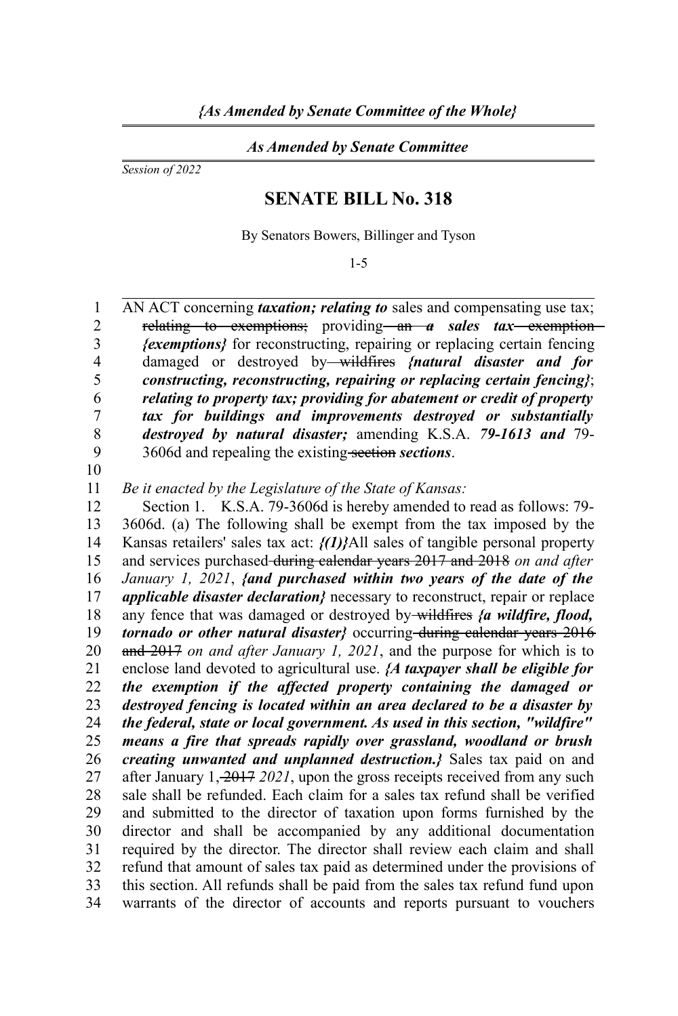## *As Amended by Senate Committee*

*Session of 2022*

## **SENATE BILL No. 318**

By Senators Bowers, Billinger and Tyson

1-5

AN ACT concerning *taxation; relating to* sales and compensating use tax; relating to exemptions; providing an *a* sales tax exemption *{exemptions}* for reconstructing, repairing or replacing certain fencing damaged or destroyed by wildfires *{natural disaster and for constructing, reconstructing, repairing or replacing certain fencing}*; *relating to property tax; providing for abatement or credit of property tax for buildings and improvements destroyed or substantially destroyed by natural disaster;* amending K.S.A. *79-1613 and* 79- 3606d and repealing the existing section *sections*. 1 2 3 4 5 6 7 8 9

10

*Be it enacted by the Legislature of the State of Kansas:* 11

Section 1. K.S.A. 79-3606d is hereby amended to read as follows: 79- 3606d. (a) The following shall be exempt from the tax imposed by the Kansas retailers' sales tax act: *{(1)}*All sales of tangible personal property and services purchased during calendar years 2017 and 2018 *on and after January 1, 2021*, *{and purchased within two years of the date of the applicable disaster declaration}* necessary to reconstruct, repair or replace any fence that was damaged or destroyed by wildfires *{a wildfire, flood, tornado or other natural disaster}* occurring-during calendar years 2016 and 2017 *on and after January 1, 2021*, and the purpose for which is to enclose land devoted to agricultural use. *{A taxpayer shall be eligible for the exemption if the affected property containing the damaged or destroyed fencing is located within an area declared to be a disaster by the federal, state or local government. As used in this section, "wildfire" means a fire that spreads rapidly over grassland, woodland or brush creating unwanted and unplanned destruction.}* Sales tax paid on and after January 1, 2017 *2021*, upon the gross receipts received from any such sale shall be refunded. Each claim for a sales tax refund shall be verified and submitted to the director of taxation upon forms furnished by the director and shall be accompanied by any additional documentation required by the director. The director shall review each claim and shall refund that amount of sales tax paid as determined under the provisions of this section. All refunds shall be paid from the sales tax refund fund upon warrants of the director of accounts and reports pursuant to vouchers 12 13 14 15 16 17 18 19 20 21 22 23 24 25 26 27 28 29 30 31 32 33 34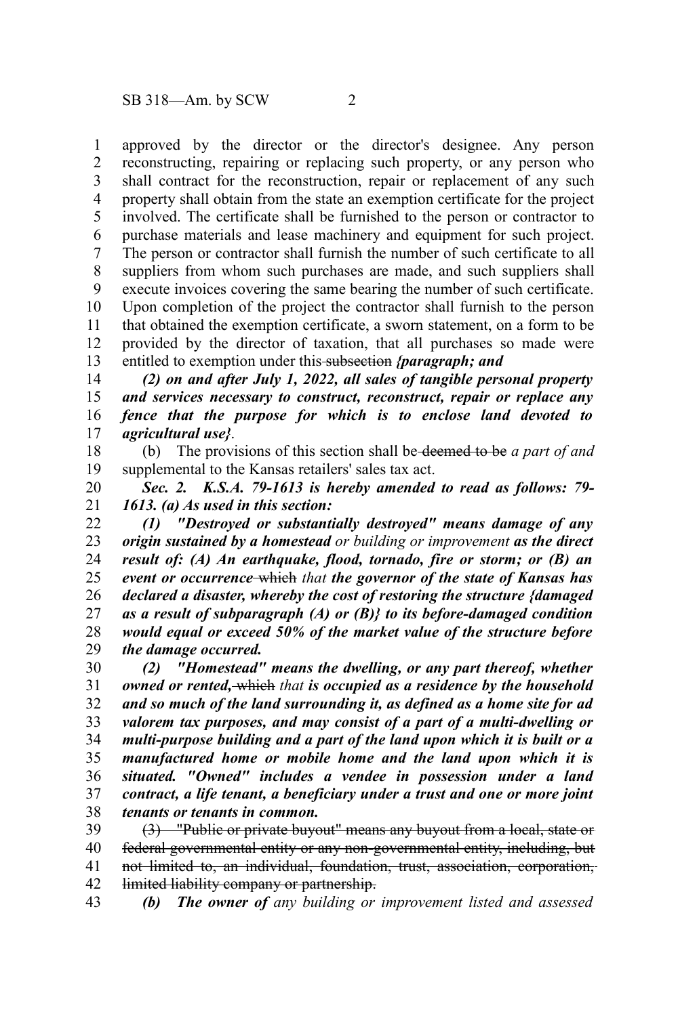approved by the director or the director's designee. Any person reconstructing, repairing or replacing such property, or any person who shall contract for the reconstruction, repair or replacement of any such property shall obtain from the state an exemption certificate for the project involved. The certificate shall be furnished to the person or contractor to purchase materials and lease machinery and equipment for such project. The person or contractor shall furnish the number of such certificate to all suppliers from whom such purchases are made, and such suppliers shall execute invoices covering the same bearing the number of such certificate. Upon completion of the project the contractor shall furnish to the person that obtained the exemption certificate, a sworn statement, on a form to be provided by the director of taxation, that all purchases so made were entitled to exemption under this subsection *{paragraph; and* 1 2 3 4 5 6 7 8 9 10 11 12 13

*(2) on and after July 1, 2022, all sales of tangible personal property and services necessary to construct, reconstruct, repair or replace any fence that the purpose for which is to enclose land devoted to agricultural use}*. 14 15 16 17

(b) The provisions of this section shall be deemed to be *a part of and* supplemental to the Kansas retailers' sales tax act. 18 19

*Sec. 2. K.S.A. 79-1613 is hereby amended to read as follows: 79- 1613. (a) As used in this section:*  20 21

*(1) "Destroyed or substantially destroyed" means damage of any origin sustained by a homestead or building or improvement as the direct result of: (A) An earthquake, flood, tornado, fire or storm; or (B) an event or occurrence* which *that the governor of the state of Kansas has declared a disaster, whereby the cost of restoring the structure {damaged as a result of subparagraph (A) or (B)} to its before-damaged condition would equal or exceed 50% of the market value of the structure before the damage occurred.* 22 23 24 25 26 27 28 29

*(2) "Homestead" means the dwelling, or any part thereof, whether owned or rented,* which *that is occupied as a residence by the household and so much of the land surrounding it, as defined as a home site for ad valorem tax purposes, and may consist of a part of a multi-dwelling or multi-purpose building and a part of the land upon which it is built or a manufactured home or mobile home and the land upon which it is situated. "Owned" includes a vendee in possession under a land contract, a life tenant, a beneficiary under a trust and one or more joint tenants or tenants in common.* 30 31 32 33 34 35 36 37 38

(3) "Public or private buyout" means any buyout from a local, state or federal governmental entity or any non-governmental entity, including, but not limited to, an individual, foundation, trust, association, corporation, limited liability company or partnership. 39 40 41 42

*(b) The owner of any building or improvement listed and assessed* 43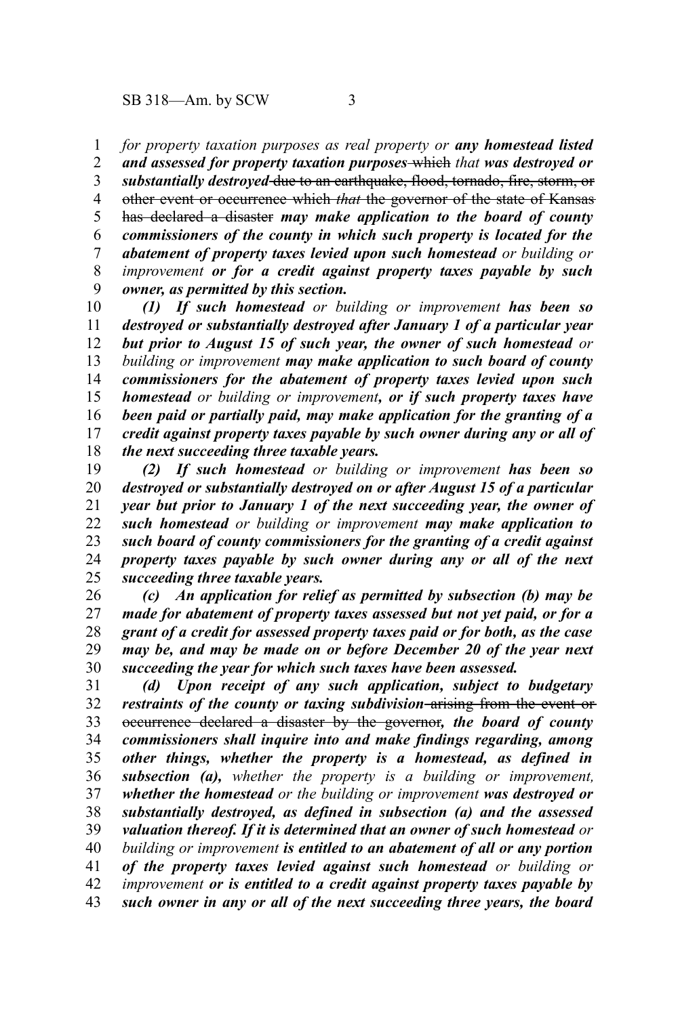*for property taxation purposes as real property or any homestead listed* 1

*and assessed for property taxation purposes* which *that was destroyed or substantially destroyed* due to an earthquake, flood, tornado, fire, storm, or other event or occurrence which *that* the governor of the state of Kansas has declared a disaster *may make application to the board of county commissioners of the county in which such property is located for the abatement of property taxes levied upon such homestead or building or improvement or for a credit against property taxes payable by such owner, as permitted by this section.* 2 3 4 5 6 7 8 9

*(1) If such homestead or building or improvement has been so destroyed or substantially destroyed after January 1 of a particular year but prior to August 15 of such year, the owner of such homestead or building or improvement may make application to such board of county commissioners for the abatement of property taxes levied upon such homestead or building or improvement, or if such property taxes have been paid or partially paid, may make application for the granting of a credit against property taxes payable by such owner during any or all of the next succeeding three taxable years.* 10 11 12 13 14 15 16 17 18

*(2) If such homestead or building or improvement has been so destroyed or substantially destroyed on or after August 15 of a particular year but prior to January 1 of the next succeeding year, the owner of such homestead or building or improvement may make application to such board of county commissioners for the granting of a credit against property taxes payable by such owner during any or all of the next succeeding three taxable years.* 19 20 21 22 23 24 25

*(c) An application for relief as permitted by subsection (b) may be made for abatement of property taxes assessed but not yet paid, or for a grant of a credit for assessed property taxes paid or for both, as the case may be, and may be made on or before December 20 of the year next succeeding the year for which such taxes have been assessed.* 26 27 28 29 30

*(d) Upon receipt of any such application, subject to budgetary restraints of the county or taxing subdivision* arising from the event or occurrence declared a disaster by the governor*, the board of county commissioners shall inquire into and make findings regarding, among other things, whether the property is a homestead, as defined in subsection (a), whether the property is a building or improvement, whether the homestead or the building or improvement was destroyed or substantially destroyed, as defined in subsection (a) and the assessed valuation thereof. If it is determined that an owner of such homestead or building or improvement is entitled to an abatement of all or any portion of the property taxes levied against such homestead or building or improvement or is entitled to a credit against property taxes payable by such owner in any or all of the next succeeding three years, the board* 31 32 33 34 35 36 37 38 39 40 41 42 43